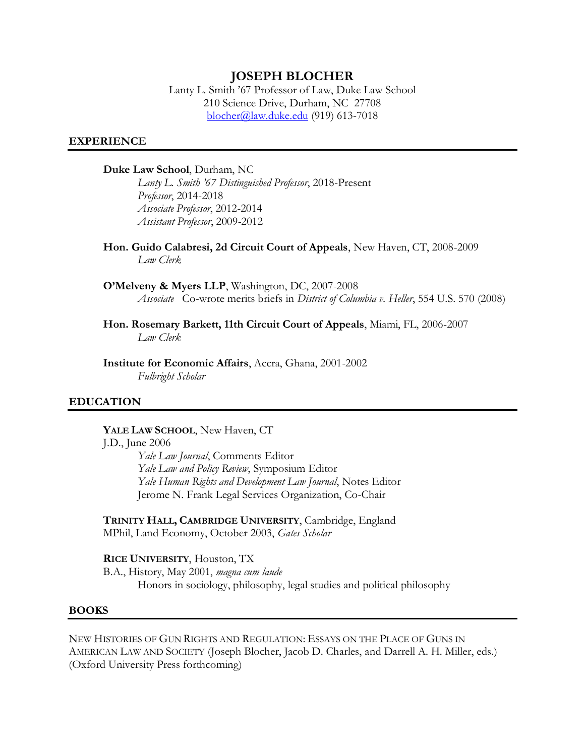## **JOSEPH BLOCHER**

Lanty L. Smith '67 Professor of Law, Duke Law School 210 Science Drive, Durham, NC 27708 [blocher@law.duke.edu](mailto:blocher@law.duke.edu) (919) 613-7018

### **EXPERIENCE**

#### **Duke Law School**, Durham, NC

*Lanty L. Smith '67 Distinguished Professor*, 2018-Present *Professor*, 2014-2018 *Associate Professor*, 2012-2014 *Assistant Professor*, 2009-2012

**Hon. Guido Calabresi, 2d Circuit Court of Appeals**, New Haven, CT, 2008-2009 *Law Clerk*

**O'Melveny & Myers LLP**, Washington, DC, 2007-2008 *Associate* Co-wrote merits briefs in *District of Columbia v. Heller*, 554 U.S. 570 (2008)

**Hon. Rosemary Barkett, 11th Circuit Court of Appeals**, Miami, FL, 2006-2007 *Law Clerk*

**Institute for Economic Affairs**, Accra, Ghana, 2001-2002 *Fulbright Scholar*

#### **EDUCATION**

#### **YALE LAW SCHOOL**, New Haven, CT

#### J.D., June 2006

*Yale Law Journal*, Comments Editor *Yale Law and Policy Review*, Symposium Editor *Yale Human Rights and Development Law Journal*, Notes Editor Jerome N. Frank Legal Services Organization, Co-Chair

**TRINITY HALL, CAMBRIDGE UNIVERSITY**, Cambridge, England MPhil, Land Economy, October 2003, *Gates Scholar*

**RICE UNIVERSITY**, Houston, TX

B.A., History, May 2001, *magna cum laude* Honors in sociology, philosophy, legal studies and political philosophy

#### **BOOKS**

NEW HISTORIES OF GUN RIGHTS AND REGULATION: ESSAYS ON THE PLACE OF GUNS IN AMERICAN LAW AND SOCIETY (Joseph Blocher, Jacob D. Charles, and Darrell A. H. Miller, eds.) (Oxford University Press forthcoming)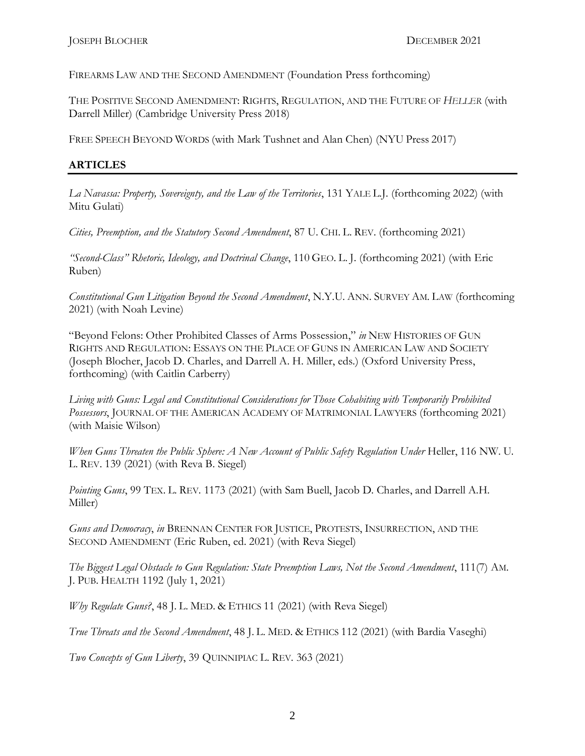FIREARMS LAW AND THE SECOND AMENDMENT (Foundation Press forthcoming)

THE POSITIVE SECOND AMENDMENT: RIGHTS, REGULATION, AND THE FUTURE OF *HELLER* (with Darrell Miller) (Cambridge University Press 2018)

FREE SPEECH BEYOND WORDS (with Mark Tushnet and Alan Chen) (NYU Press 2017)

## **ARTICLES**

*La Navassa: Property, Sovereignty, and the Law of the Territories*, 131 YALE L.J. (forthcoming 2022) (with Mitu Gulati)

*Cities, Preemption, and the Statutory Second Amendment*, 87 U. CHI. L. REV. (forthcoming 2021)

*"Second-Class" Rhetoric, Ideology, and Doctrinal Change*, 110 GEO. L. J. (forthcoming 2021) (with Eric Ruben)

*Constitutional Gun Litigation Beyond the Second Amendment*, N.Y.U. ANN. SURVEY AM. LAW (forthcoming 2021) (with Noah Levine)

"Beyond Felons: Other Prohibited Classes of Arms Possession," *in* NEW HISTORIES OF GUN RIGHTS AND REGULATION: ESSAYS ON THE PLACE OF GUNS IN AMERICAN LAW AND SOCIETY (Joseph Blocher, Jacob D. Charles, and Darrell A. H. Miller, eds.) (Oxford University Press, forthcoming) (with Caitlin Carberry)

*Living with Guns: Legal and Constitutional Considerations for Those Cohabiting with Temporarily Prohibited Possessors*, JOURNAL OF THE AMERICAN ACADEMY OF MATRIMONIAL LAWYERS (forthcoming 2021) (with Maisie Wilson)

*When Guns Threaten the Public Sphere: A New Account of Public Safety Regulation Under Heller, 116 NW. U.* L. REV. 139 (2021) (with Reva B. Siegel)

*Pointing Guns*, 99 TEX. L. REV. 1173 (2021) (with Sam Buell, Jacob D. Charles, and Darrell A.H. Miller)

*Guns and Democracy*, *in* BRENNAN CENTER FOR JUSTICE, PROTESTS, INSURRECTION, AND THE SECOND AMENDMENT (Eric Ruben, ed. 2021) (with Reva Siegel)

*The Biggest Legal Obstacle to Gun Regulation: State Preemption Laws, Not the Second Amendment*, 111(7) AM. J. PUB. HEALTH 1192 (July 1, 2021)

*Why Regulate Guns?*, 48 J. L. MED. & ETHICS 11 (2021) (with Reva Siegel)

*True Threats and the Second Amendment*, 48 J. L. MED. & ETHICS 112 (2021) (with Bardia Vaseghi)

*Two Concepts of Gun Liberty*, 39 QUINNIPIAC L. REV. 363 (2021)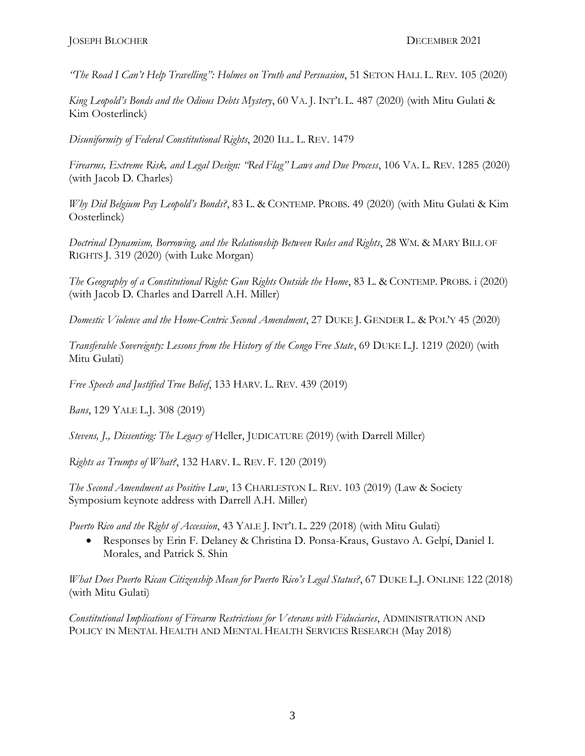*"The Road I Can't Help Travelling": Holmes on Truth and Persuasion*, 51 SETON HALL L. REV. 105 (2020)

*King Leopold's Bonds and the Odious Debts Mystery*, 60 VA. J. INT'L L. 487 (2020) (with Mitu Gulati & Kim Oosterlinck)

*Disuniformity of Federal Constitutional Rights*, 2020 ILL. L. REV. 1479

*Firearms, Extreme Risk, and Legal Design: "Red Flag" Laws and Due Process*, 106 VA. L. REV. 1285 (2020) (with Jacob D. Charles)

*Why Did Belgium Pay Leopold's Bonds?*, 83 L. & CONTEMP. PROBS. 49 (2020) (with Mitu Gulati & Kim Oosterlinck)

*Doctrinal Dynamism, Borrowing, and the Relationship Between Rules and Rights*, 28 WM. & MARY BILL OF RIGHTS J. 319 (2020) (with Luke Morgan)

*The Geography of a Constitutional Right: Gun Rights Outside the Home*, 83 L. & CONTEMP. PROBS. i (2020) (with Jacob D. Charles and Darrell A.H. Miller)

*Domestic Violence and the Home-Centric Second Amendment*, 27 DUKE J. GENDER L. & POL'Y 45 (2020)

*Transferable Sovereignty: Lessons from the History of the Congo Free State*, 69 DUKE L.J. 1219 (2020) (with Mitu Gulati)

*Free Speech and Justified True Belief*, 133 HARV. L. REV. 439 (2019)

*Bans*, 129 YALE L.J. 308 (2019)

*Stevens, J., Dissenting: The Legacy of Heller, JUDICATURE (2019)* (with Darrell Miller)

*Rights as Trumps of What?*, 132 HARV. L. REV. F. 120 (2019)

*The Second Amendment as Positive Law*, 13 CHARLESTON L. REV. 103 (2019) (Law & Society Symposium keynote address with Darrell A.H. Miller)

*Puerto Rico and the Right of Accession*, 43 YALE J. INT'L L. 229 (2018) (with Mitu Gulati)

• Responses by Erin F. Delaney & Christina D. Ponsa-Kraus, Gustavo A. Gelpí, Daniel I. Morales, and Patrick S. Shin

*What Does Puerto Rican Citizenship Mean for Puerto Rico's Legal Status?*, 67 DUKE L.J. ONLINE 122 (2018) (with Mitu Gulati)

*Constitutional Implications of Firearm Restrictions for Veterans with Fiduciaries*, ADMINISTRATION AND POLICY IN MENTAL HEALTH AND MENTAL HEALTH SERVICES RESEARCH (May 2018)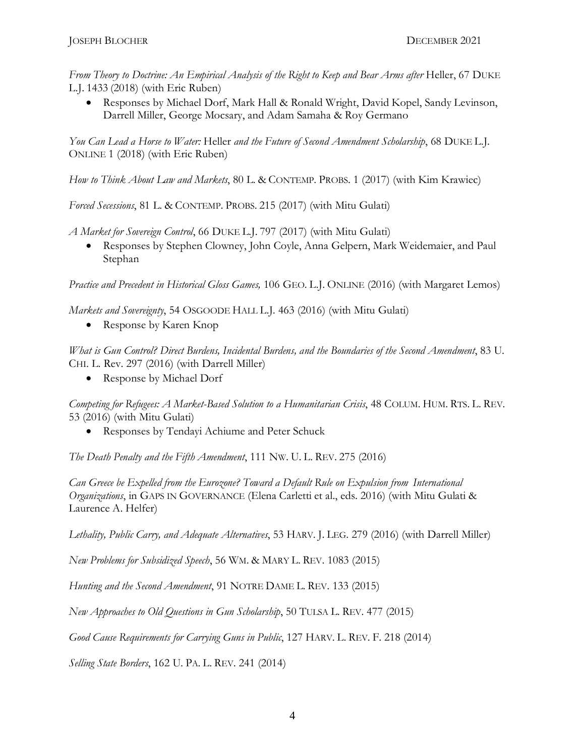*From Theory to Doctrine: An Empirical Analysis of the Right to Keep and Bear Arms after* Heller, 67 DUKE L.J. 1433 (2018) (with Eric Ruben)

• Responses by Michael Dorf, Mark Hall & Ronald Wright, David Kopel, Sandy Levinson, Darrell Miller, George Mocsary, and Adam Samaha & Roy Germano

*You Can Lead a Horse to Water:* Heller *and the Future of Second Amendment Scholarship*, 68 DUKE L.J. ONLINE 1 (2018) (with Eric Ruben)

*How to Think About Law and Markets*, 80 L. & CONTEMP. PROBS. 1 (2017) (with Kim Krawiec)

*Forced Secessions*, 81 L. & CONTEMP. PROBS. 215 (2017) (with Mitu Gulati)

*A Market for Sovereign Control*, 66 DUKE L.J. 797 (2017) (with Mitu Gulati)

• Responses by Stephen Clowney, John Coyle, Anna Gelpern, Mark Weidemaier, and Paul Stephan

*Practice and Precedent in Historical Gloss Games,* 106 GEO. L.J. ONLINE (2016) (with Margaret Lemos)

*Markets and Sovereignty*, 54 OSGOODE HALL L.J. 463 (2016) (with Mitu Gulati)

• Response by Karen Knop

*What is Gun Control? Direct Burdens, Incidental Burdens, and the Boundaries of the Second Amendment*, 83 U. CHI. L. Rev. 297 (2016) (with Darrell Miller)

• Response by Michael Dorf

*Competing for Refugees: A Market-Based Solution to a Humanitarian Crisis*, 48 COLUM. HUM. RTS. L. REV. 53 (2016) (with Mitu Gulati)

• Responses by Tendayi Achiume and Peter Schuck

*The Death Penalty and the Fifth Amendment*, 111 NW. U. L. REV. 275 (2016)

*Can Greece be Expelled from the Eurozone? Toward a Default Rule on Expulsion from International Organizations*, in GAPS IN GOVERNANCE (Elena Carletti et al., eds. 2016) (with Mitu Gulati & Laurence A. Helfer)

*Lethality, Public Carry, and Adequate Alternatives*, 53 HARV. J. LEG. 279 (2016) (with Darrell Miller)

*New Problems for Subsidized Speech*, 56 WM. & MARY L. REV. 1083 (2015)

*Hunting and the Second Amendment*, 91 NOTRE DAME L. REV. 133 (2015)

*New Approaches to Old Questions in Gun Scholarship*, 50 TULSA L. REV. 477 (2015)

*Good Cause Requirements for Carrying Guns in Public*, 127 HARV. L. REV. F. 218 (2014)

*Selling State Borders*, 162 U. PA. L. REV. 241 (2014)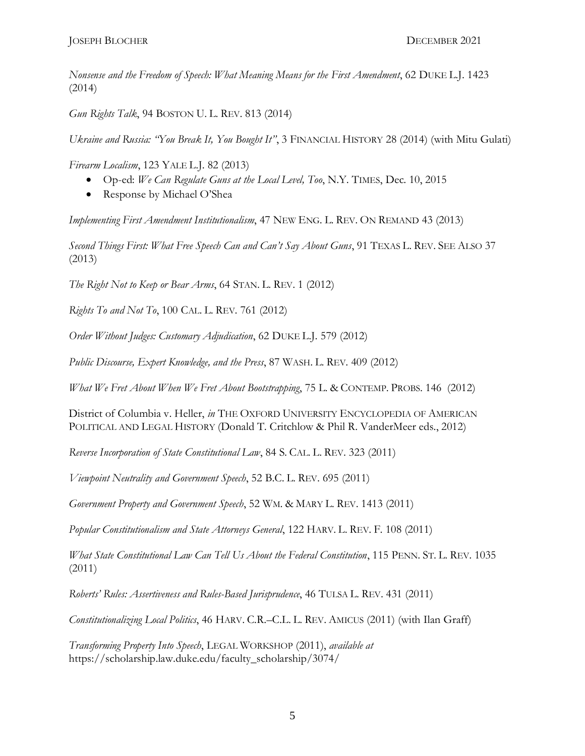*Nonsense and the Freedom of Speech: What Meaning Means for the First Amendment*, 62 DUKE L.J. 1423 (2014)

*Gun Rights Talk*, 94 BOSTON U. L. REV. 813 (2014)

*Ukraine and Russia: "You Break It, You Bought It"*, 3 FINANCIAL HISTORY 28 (2014) (with Mitu Gulati)

*Firearm Localism*, 123 YALE L.J. 82 (2013)

- Op-ed: *We Can Regulate Guns at the Local Level, Too*, N.Y. TIMES, Dec. 10, 2015
- Response by Michael O'Shea

*Implementing First Amendment Institutionalism*, 47 NEW ENG. L. REV. ON REMAND 43 (2013)

*Second Things First: What Free Speech Can and Can't Say About Guns*, 91 TEXAS L. REV. SEE ALSO 37 (2013)

*The Right Not to Keep or Bear Arms*, 64 STAN. L. REV. 1 (2012)

*Rights To and Not To*, 100 CAL. L. REV. 761 (2012)

*Order Without Judges: Customary Adjudication*, 62 DUKE L.J. 579 (2012)

*Public Discourse, Expert Knowledge, and the Press*, 87 WASH. L. REV. 409 (2012)

*What We Fret About When We Fret About Bootstrapping*, 75 L. & CONTEMP. PROBS. 146 (2012)

District of Columbia v. Heller, *in* THE OXFORD UNIVERSITY ENCYCLOPEDIA OF AMERICAN POLITICAL AND LEGAL HISTORY (Donald T. Critchlow & Phil R. VanderMeer eds., 2012)

*Reverse Incorporation of State Constitutional Law*, 84 S. CAL. L. REV. 323 (2011)

*Viewpoint Neutrality and Government Speech*, 52 B.C. L. REV. 695 (2011)

*Government Property and Government Speech*, 52 WM. & MARY L. REV. 1413 (2011)

*Popular Constitutionalism and State Attorneys General*, 122 HARV. L. REV. F. 108 (2011)

*What State Constitutional Law Can Tell Us About the Federal Constitution*, 115 PENN. ST. L. REV. 1035 (2011)

*Roberts' Rules: Assertiveness and Rules-Based Jurisprudence*, 46 TULSA L. REV. 431 (2011)

*Constitutionalizing Local Politics*, 46 HARV. C.R.–C.L. L. REV. AMICUS (2011) (with Ilan Graff)

*Transforming Property Into Speech*, LEGAL WORKSHOP (2011), *available at*  https://scholarship.law.duke.edu/faculty\_scholarship/3074/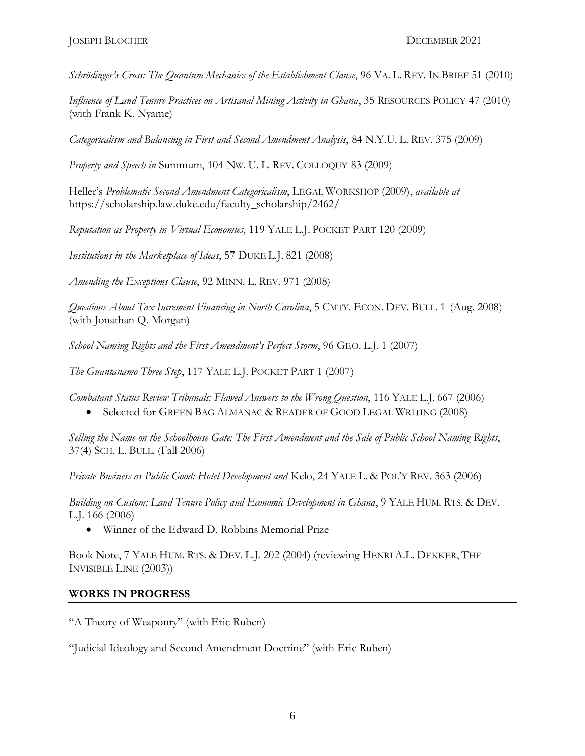*Schrödinger's Cross: The Quantum Mechanics of the Establishment Clause*, 96 VA. L. REV. IN BRIEF 51 (2010)

*Influence of Land Tenure Practices on Artisanal Mining Activity in Ghana*, 35 RESOURCES POLICY 47 (2010) (with Frank K. Nyame)

*Categoricalism and Balancing in First and Second Amendment Analysis*, 84 N.Y.U. L. REV. 375 (2009)

*Property and Speech in* Summum, 104 NW. U. L. REV. COLLOQUY 83 (2009)

Heller's *Problematic Second Amendment Categoricalism*, LEGAL WORKSHOP (2009), *available at* https://scholarship.law.duke.edu/faculty\_scholarship/2462/

*Reputation as Property in Virtual Economies*, 119 YALE L.J. POCKET PART 120 (2009)

*Institutions in the Marketplace of Ideas*, 57 DUKE L.J. 821 (2008)

*Amending the Exceptions Clause*, 92 MINN. L. REV. 971 (2008)

*Questions About Tax Increment Financing in North Carolina*, 5 CMTY. ECON. DEV. BULL. 1 (Aug. 2008) (with Jonathan Q. Morgan)

*School Naming Rights and the First Amendment's Perfect Storm*, 96 GEO. L.J. 1 (2007)

*The Guantanamo Three Step*, 117 YALE L.J. POCKET PART 1 (2007)

*Combatant Status Review Tribunals: Flawed Answers to the Wrong Question*, 116 YALE L.J. 667 (2006)

• Selected for GREEN BAG ALMANAC & READER OF GOOD LEGAL WRITING (2008)

*Selling the Name on the Schoolhouse Gate: The First Amendment and the Sale of Public School Naming Rights*, 37(4) SCH. L. BULL. (Fall 2006)

*Private Business as Public Good: Hotel Development and* Kelo, 24 YALE L. & POL'Y REV. 363 (2006)

*Building on Custom: Land Tenure Policy and Economic Development in Ghana*, 9 YALE HUM. RTS. & DEV. L.J. 166 (2006)

• Winner of the Edward D. Robbins Memorial Prize

Book Note, 7 YALE HUM. RTS. & DEV. L.J. 202 (2004) (reviewing HENRI A.L. DEKKER, THE INVISIBLE LINE (2003))

### **WORKS IN PROGRESS**

"A Theory of Weaponry" (with Eric Ruben)

"Judicial Ideology and Second Amendment Doctrine" (with Eric Ruben)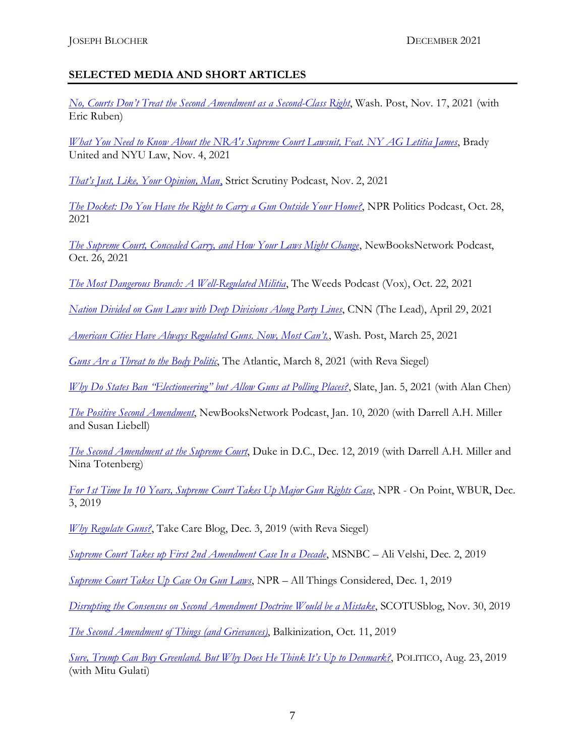# **SELECTED MEDIA AND SHORT ARTICLES**

*[No, Courts Don't Treat the Second Amendment as a Second](No,%20courts%20don’t%20treat%20the%20Second%20Amendment%20as%20a%20‘second-class%20right’)-Class Right*, Wash. Post, Nov. 17, 2021 (with Eric Ruben)

*[What You Need to Know About the NRA's Supreme Court Lawsuit, Feat. NY AG Letitia James](https://www.bradyunited.org/act/nra-scotus-second-amendment)*, Brady United and NYU Law, Nov. 4, 2021

*[That's Just, Like, Your Opinion, Man](https://strictscrutinypodcast.com/podcast/just-like/)*, Strict Scrutiny Podcast, Nov. 2, 2021

*[The Docket: Do You Have the Right to Carry a Gun Outside Your Home?](https://www.npr.org/transcripts/1050067757)*, NPR Politics Podcast, Oct. 28, 2021

*[The Supreme Court, Concealed Carry, and How Your Laws Might Change](https://newbooksnetwork.com/postscript-the-supreme-court-concealed-carry-and-how-your-laws-might-change)*, NewBooksNetwork Podcast, Oct. 26, 2021

*[The Most Dangerous Branch: A Well-Regulated Militia](https://open.spotify.com/episode/0DlzmvKOpfITuPAqHbr7mU)*, The Weeds Podcast (Vox), Oct. 22, 2021

*[Nation Divided on Gun Laws with Deep Divisions Along Party Lines](https://twitter.com/TheLeadCNN/status/1387901456989163527)*, CNN (The Lead), April 29, 2021

*[American Cities Have Always Regulated Guns. Now, Most Can't.](https://www.washingtonpost.com/outlook/american-cities-have-always-regulated-guns-now-most-cant/2021/03/25/c346597c-8ce7-11eb-9423-04079921c915_story.html)*, Wash. Post, March 25, 2021

*[Guns Are a Threat to the Body Politic](https://www.theatlantic.com/ideas/archive/2021/03/guns-are-threat-body-politic/618158/)*, The Atlantic, March 8, 2021 (with Reva Siegel)

*[Why Do States Ban "Electioneering" but Allow Guns at Polling Places?](https://slate.com/news-and-politics/2021/01/guns-polling-places-georgia.html)*, Slate, Jan. 5, 2021 (with Alan Chen)

*[The Positive Second Amendment](https://newbooksnetwork.com/joseph-blocher-and-darrell-a-h-miller-the-positive-second-amendment-rights-regulation-and-the-future-of-heller-cambridge-up-2018/)*, NewBooksNetwork Podcast, Jan. 10, 2020 (with Darrell A.H. Miller and Susan Liebell)

*[The Second Amendment at the Supreme Court](https://www.youtube.com/watch?v=HzBOCZp33jk)*, Duke in D.C., Dec. 12, 2019 (with Darrell A.H. Miller and Nina Totenberg)

*[For 1st Time In 10 Years, Supreme Court Takes Up Major Gun Rights Case](https://www.wbur.org/onpoint/2019/12/03/supreme-court-gun-rights-new-york)*, NPR - On Point, WBUR, Dec. 3, 2019

*[Why Regulate Guns?](http://www.takecareblog.com/why-regulate-guns)*, Take Care Blog, Dec. 3, 2019 (with Reva Siegel)

*[Supreme Court Takes up First 2nd Amendment Case In a Decade](https://www.msnbc.com/ali-velshi/watch/supreme-court-takes-up-first-2nd-amendment-case-in-a-decade-74375237666)*, MSNBC – Ali Velshi, Dec. 2, 2019

*[Supreme Court Takes Up Case On Gun Laws](https://www.npr.org/2019/12/01/784005853/supreme-court-takes-up-case-on-gun-laws)*, NPR – All Things Considered, Dec. 1, 2019

*[Disrupting the Consensus on Second Amendment Doctrine Would be a Mistake](https://www.scotusblog.com/2019/11/symposium-disrupting-the-consensus-on-second-amendment-doctrine-would-be-a-mistake/)*, SCOTUSblog, Nov. 30, 2019

*[The Second Amendment of Things \(and Grievances\)](https://balkin.blogspot.com/2019/10/the-second-amendment-of-things-and.html)*, Balkinization, Oct. 11, 2019

*[Sure, Trump Can Buy Greenland. But Why Does He Think It's Up to Denmark?](https://www.politico.com/magazine/story/2019/08/23/donald-trump-greenland-purchase-sovereignty-denmark-227859)*, POLITICO, Aug. 23, 2019 (with Mitu Gulati)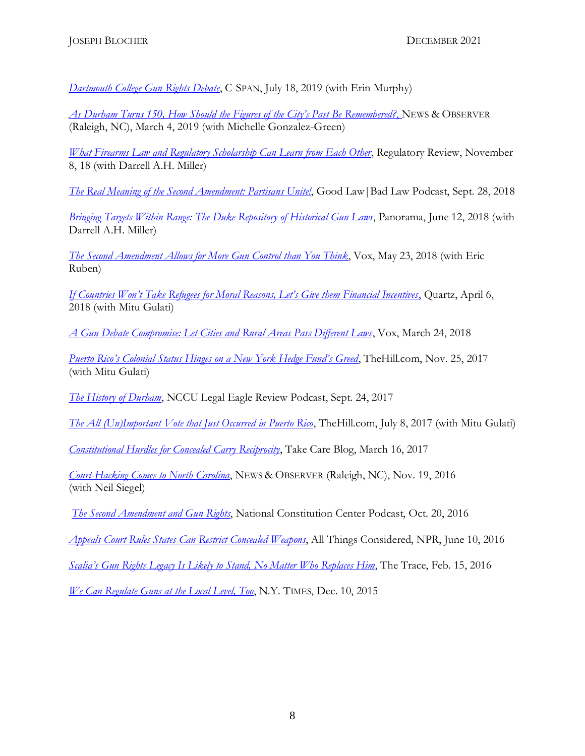*[Dartmouth College Gun Rights Debate](https://www.c-span.org/video/?462277-1/dartmouth-college-gun-rights-debate)*, C-SPAN, July 18, 2019 (with Erin Murphy)

*As Durham [Turns 150, How Should the Figures of the City's Past Be Remembered?](https://www.heraldsun.com/opinion/article227007089.html#storylink=cpy)*, NEWS & OBSERVER (Raleigh, NC), March 4, 2019 (with Michelle Gonzalez-Green)

*[What Firearms Law and Regulatory Scholarship Can Learn from Each Other](https://www.theregreview.org/2018/11/08/blocher-miller-firearms-law-regulatory-scholarship/)*, Regulatory Review, November 8, 18 (with Darrell A.H. Miller)

*[The Real Meaning of the Second Amendment: Partisans Unite!](https://thelawmatters.podbean.com/e/good-law-bad-law-99-the-real-meaning-of-the-second-amendment-partisans-unite-w-joseph-blocher/)*, Good Law|Bad Law Podcast, Sept. 28, 2018

*[Bringing Targets Within Range: The Duke Repository of Historical Gun Laws](http://thepanorama.shear.org/2018/06/12/bringing-targets-within-range-the-duke-repository-of-historical-gun-laws/)*, Panorama, June 12, 2018 (with Darrell A.H. Miller)

*[The Second Amendment Allows for More Gun Control than You Think](https://www.vox.com/the-big-idea/2018/5/23/17383644/second-2nd-amendment-gun-control-debate-santa-fe-parkland-heller-anniversary-constitution)*, Vox, May 23, 2018 (with Eric Ruben)

*[If Countries Won't Take Refugees for Moral Reasons, Let's Give them Financial Incentives](https://qz.com/1244828/if-countries-wont-take-refugees-for-moral-reasons-lets-give-them-financial-incentives/)*, Quartz, April 6, 2018 (with Mitu Gulati)

*[A Gun Debate Compromise: Let Cities and Rural Areas Pass Different Laws](https://www.vox.com/the-big-idea/2018/3/21/17147398/rural-cities-gun-laws-control-culture-war-nra-second-amendment-parkland-shootings)*, Vox, March 24, 2018

*[Puerto Rico's Colonial Status Hinges on a New York Hedge Fund's Greed](http://thehill.com/opinion/finance/361775-puerto-ricos-colonial-status-hinges-on-a-new-york-hedge-funds-greed)*, TheHill.com, Nov. 25, 2017 (with Mitu Gulati)

*[The History of Durham](http://www.wncu.org/podcasts/legal-eagle-review-podcast-1029/)*, NCCU Legal Eagle Review Podcast, Sept. 24, 2017

*[The All \(Un\)Important Vote that Just Occurred in Puerto Rico](http://thehill.com/blogs/pundits-blog/uncategorized/341102-the-all-unimportant-vote-that-occurred-in-puerto-rico)*, TheHill.com, July 8, 2017 (with Mitu Gulati)

*[Constitutional Hurdles for Concealed Carry Reciprocity](https://takecareblog.com/blog/constitutional-hurdles-for-concealed-carry-reciprocity)*, Take Care Blog, March 16, 2017

*[Court-Hacking Comes to North Carolina](http://www.newsobserver.com/opinion/op-ed/article115979233.html)*, NEWS & OBSERVER (Raleigh, NC), Nov. 19, 2016 (with Neil Siegel)

*[The Second Amendment and Gun Rights](https://constitutioncenter.org/blog/podcast-the-second-amendment-and-gun-rights)*, National Constitution Center Podcast, Oct. 20, 2016

*[Appeals Court Rules States Can Restrict Concealed Weapons](https://www.npr.org/2016/06/10/481590372/appeals-court-rules-states-can-restrict-concealed-weapons)*, All Things Considered, NPR, June 10, 2016

*[Scalia's Gun Rights Legacy Is Likely to Stand, No Matter Who Replaces Him](https://www.thetrace.org/2016/02/antonin-scalia-legacy-gun-rights/)*, The Trace, Feb. 15, 2016

*[We Can Regulate Guns at the Local Level, Too](https://www.nytimes.com/2015/12/10/opinion/we-can-regulate-guns-at-the-local-level-t.html)*, N.Y. TIMES, Dec. 10, 2015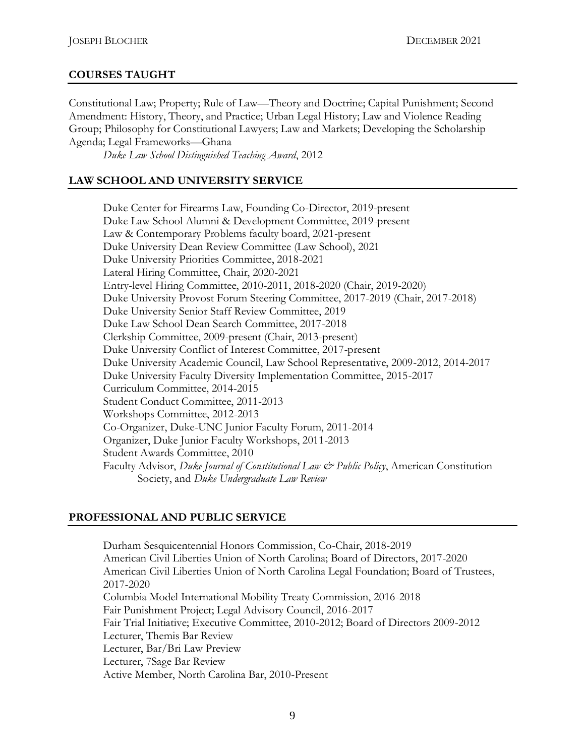## **COURSES TAUGHT**

Constitutional Law; Property; Rule of Law—Theory and Doctrine; Capital Punishment; Second Amendment: History, Theory, and Practice; Urban Legal History; Law and Violence Reading Group; Philosophy for Constitutional Lawyers; Law and Markets; Developing the Scholarship Agenda; Legal Frameworks—Ghana

*Duke Law School Distinguished Teaching Award*, 2012

## **LAW SCHOOL AND UNIVERSITY SERVICE**

Duke Center for Firearms Law, Founding Co-Director, 2019-present Duke Law School Alumni & Development Committee, 2019-present Law & Contemporary Problems faculty board, 2021-present Duke University Dean Review Committee (Law School), 2021 Duke University Priorities Committee, 2018-2021 Lateral Hiring Committee, Chair, 2020-2021 Entry-level Hiring Committee, 2010-2011, 2018-2020 (Chair, 2019-2020) Duke University Provost Forum Steering Committee, 2017-2019 (Chair, 2017-2018) Duke University Senior Staff Review Committee, 2019 Duke Law School Dean Search Committee, 2017-2018 Clerkship Committee, 2009-present (Chair, 2013-present) Duke University Conflict of Interest Committee, 2017-present Duke University Academic Council, Law School Representative, 2009-2012, 2014-2017 Duke University Faculty Diversity Implementation Committee, 2015-2017 Curriculum Committee, 2014-2015 Student Conduct Committee, 2011-2013 Workshops Committee, 2012-2013 Co-Organizer, Duke-UNC Junior Faculty Forum, 2011-2014 Organizer, Duke Junior Faculty Workshops, 2011-2013 Student Awards Committee, 2010 Faculty Advisor, *Duke Journal of Constitutional Law & Public Policy*, American Constitution Society, and *Duke Undergraduate Law Review*

### **PROFESSIONAL AND PUBLIC SERVICE**

Durham Sesquicentennial Honors Commission, Co-Chair, 2018-2019 American Civil Liberties Union of North Carolina; Board of Directors, 2017-2020 American Civil Liberties Union of North Carolina Legal Foundation; Board of Trustees, 2017-2020 Columbia Model International Mobility Treaty Commission, 2016-2018 Fair Punishment Project; Legal Advisory Council, 2016-2017 Fair Trial Initiative; Executive Committee, 2010-2012; Board of Directors 2009-2012 Lecturer, Themis Bar Review Lecturer, Bar/Bri Law Preview Lecturer, 7Sage Bar Review Active Member, North Carolina Bar, 2010-Present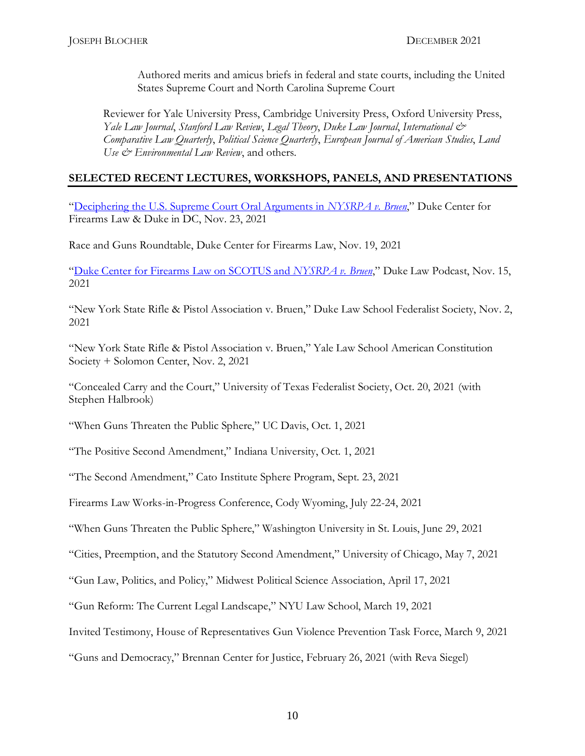Authored merits and amicus briefs in federal and state courts, including the United States Supreme Court and North Carolina Supreme Court

Reviewer for Yale University Press, Cambridge University Press, Oxford University Press, *Yale Law Journal*, *Stanford Law Review*, *Legal Theory*, *Duke Law Journal*, *International & Comparative Law Quarterly*, *Political Science Quarterly*, *European Journal of American Studies*, *Land Use & Environmental Law Review*, and others.

## **SELECTED RECENT LECTURES, WORKSHOPS, PANELS, AND PRESENTATIONS**

"[Deciphering the U.S. Supreme Court Oral Arguments in](https://www.youtube.com/watch?v=Dnc5c59GYgs) *NYSRPA v. Bruen*," Duke Center for Firearms Law & Duke in DC, Nov. 23, 2021

Race and Guns Roundtable, Duke Center for Firearms Law, Nov. 19, 2021

"[Duke Center for Firearms Law on SCOTUS and](https://www.youtube.com/watch?v=aZq1AjEwymE) *NYSRPA v. Bruen*," Duke Law Podcast, Nov. 15, 2021

"New York State Rifle & Pistol Association v. Bruen," Duke Law School Federalist Society, Nov. 2, 2021

"New York State Rifle & Pistol Association v. Bruen," Yale Law School American Constitution Society + Solomon Center, Nov. 2, 2021

"Concealed Carry and the Court," University of Texas Federalist Society, Oct. 20, 2021 (with Stephen Halbrook)

"When Guns Threaten the Public Sphere," UC Davis, Oct. 1, 2021

"The Positive Second Amendment," Indiana University, Oct. 1, 2021

"The Second Amendment," Cato Institute Sphere Program, Sept. 23, 2021

Firearms Law Works-in-Progress Conference, Cody Wyoming, July 22-24, 2021

"When Guns Threaten the Public Sphere," Washington University in St. Louis, June 29, 2021

"Cities, Preemption, and the Statutory Second Amendment," University of Chicago, May 7, 2021

"Gun Law, Politics, and Policy," Midwest Political Science Association, April 17, 2021

"Gun Reform: The Current Legal Landscape," NYU Law School, March 19, 2021

Invited Testimony, House of Representatives Gun Violence Prevention Task Force, March 9, 2021

"Guns and Democracy," Brennan Center for Justice, February 26, 2021 (with Reva Siegel)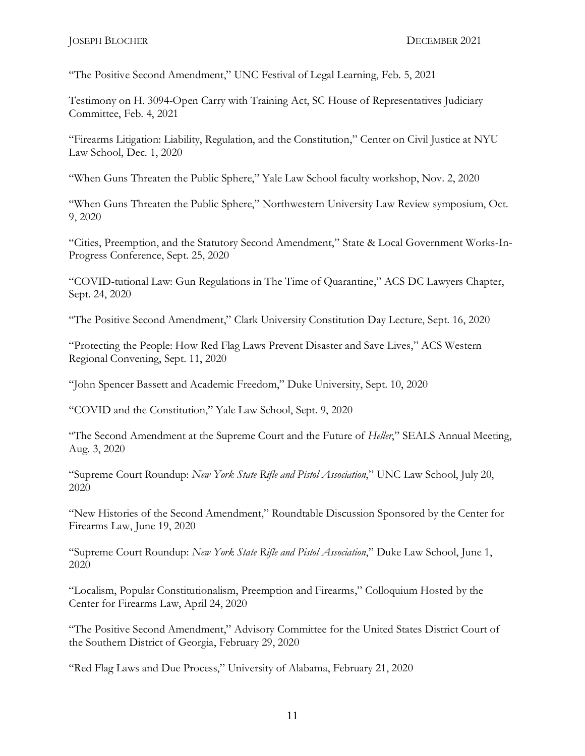"The Positive Second Amendment," UNC Festival of Legal Learning, Feb. 5, 2021

Testimony on H. 3094-Open Carry with Training Act, SC House of Representatives Judiciary Committee, Feb. 4, 2021

"Firearms Litigation: Liability, Regulation, and the Constitution," Center on Civil Justice at NYU Law School, Dec. 1, 2020

"When Guns Threaten the Public Sphere," Yale Law School faculty workshop, Nov. 2, 2020

"When Guns Threaten the Public Sphere," Northwestern University Law Review symposium, Oct. 9, 2020

"Cities, Preemption, and the Statutory Second Amendment," State & Local Government Works-In-Progress Conference, Sept. 25, 2020

"COVID-tutional Law: Gun Regulations in The Time of Quarantine," ACS DC Lawyers Chapter, Sept. 24, 2020

"The Positive Second Amendment," Clark University Constitution Day Lecture, Sept. 16, 2020

"Protecting the People: How Red Flag Laws Prevent Disaster and Save Lives," ACS Western Regional Convening, Sept. 11, 2020

"John Spencer Bassett and Academic Freedom," Duke University, Sept. 10, 2020

"COVID and the Constitution," Yale Law School, Sept. 9, 2020

"The Second Amendment at the Supreme Court and the Future of *Heller*," SEALS Annual Meeting, Aug. 3, 2020

"Supreme Court Roundup: *New York State Rifle and Pistol Association*," UNC Law School, July 20, 2020

"New Histories of the Second Amendment," Roundtable Discussion Sponsored by the Center for Firearms Law, June 19, 2020

"Supreme Court Roundup: *New York State Rifle and Pistol Association*," Duke Law School, June 1, 2020

"Localism, Popular Constitutionalism, Preemption and Firearms," Colloquium Hosted by the Center for Firearms Law, April 24, 2020

"The Positive Second Amendment," Advisory Committee for the United States District Court of the Southern District of Georgia, February 29, 2020

"Red Flag Laws and Due Process," University of Alabama, February 21, 2020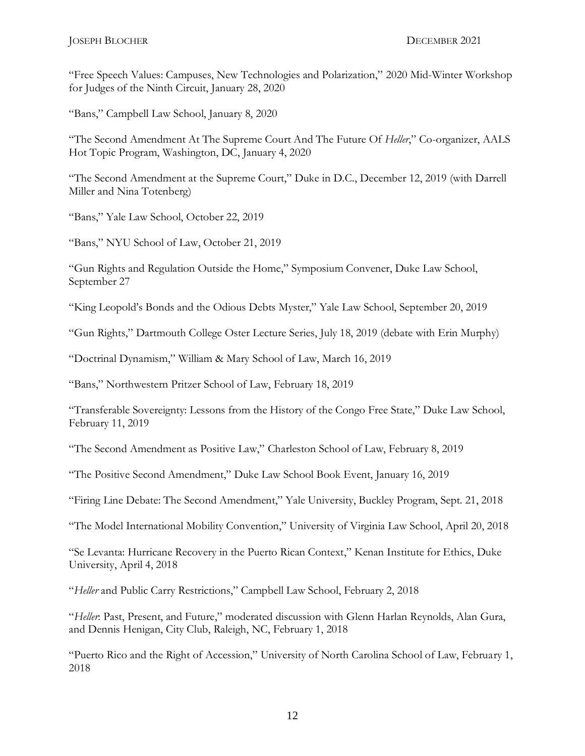"Free Speech Values: Campuses, New Technologies and Polarization," 2020 Mid-Winter Workshop for Judges of the Ninth Circuit, January 28, 2020

"Bans," Campbell Law School, January 8, 2020

"The Second Amendment At The Supreme Court And The Future Of *Heller*," Co-organizer, AALS Hot Topic Program, Washington, DC, January 4, 2020

"The Second Amendment at the Supreme Court," Duke in D.C., December 12, 2019 (with Darrell Miller and Nina Totenberg)

"Bans," Yale Law School, October 22, 2019

"Bans," NYU School of Law, October 21, 2019

"Gun Rights and Regulation Outside the Home," Symposium Convener, Duke Law School, September 27

"King Leopold's Bonds and the Odious Debts Myster," Yale Law School, September 20, 2019

"Gun Rights," Dartmouth College Oster Lecture Series, July 18, 2019 (debate with Erin Murphy)

"Doctrinal Dynamism," William & Mary School of Law, March 16, 2019

"Bans," Northwestern Pritzer School of Law, February 18, 2019

"Transferable Sovereignty: Lessons from the History of the Congo Free State," Duke Law School, February 11, 2019

"The Second Amendment as Positive Law," Charleston School of Law, February 8, 2019

"The Positive Second Amendment," Duke Law School Book Event, January 16, 2019

"Firing Line Debate: The Second Amendment," Yale University, Buckley Program, Sept. 21, 2018

"The Model International Mobility Convention," University of Virginia Law School, April 20, 2018

"Se Levanta: Hurricane Recovery in the Puerto Rican Context," Kenan Institute for Ethics, Duke University, April 4, 2018

"*Heller* and Public Carry Restrictions," Campbell Law School, February 2, 2018

"*Heller*: Past, Present, and Future," moderated discussion with Glenn Harlan Reynolds, Alan Gura, and Dennis Henigan, City Club, Raleigh, NC, February 1, 2018

"Puerto Rico and the Right of Accession," University of North Carolina School of Law, February 1, 2018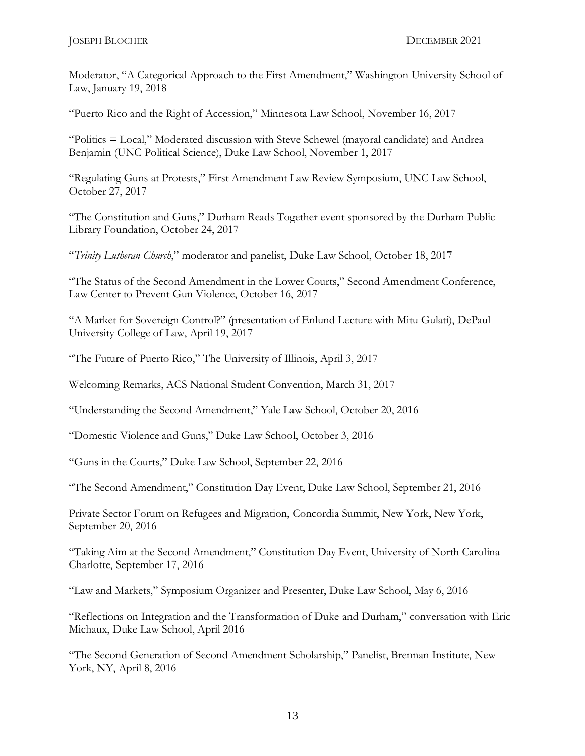Moderator, "A Categorical Approach to the First Amendment," Washington University School of Law, January 19, 2018

"Puerto Rico and the Right of Accession," Minnesota Law School, November 16, 2017

"Politics = Local," Moderated discussion with Steve Schewel (mayoral candidate) and Andrea Benjamin (UNC Political Science), Duke Law School, November 1, 2017

"Regulating Guns at Protests," First Amendment Law Review Symposium, UNC Law School, October 27, 2017

"The Constitution and Guns," Durham Reads Together event sponsored by the Durham Public Library Foundation, October 24, 2017

"*Trinity Lutheran Church*," moderator and panelist, Duke Law School, October 18, 2017

"The Status of the Second Amendment in the Lower Courts," Second Amendment Conference, Law Center to Prevent Gun Violence, October 16, 2017

"A Market for Sovereign Control?" (presentation of Enlund Lecture with Mitu Gulati), DePaul University College of Law, April 19, 2017

"The Future of Puerto Rico," The University of Illinois, April 3, 2017

Welcoming Remarks, ACS National Student Convention, March 31, 2017

"Understanding the Second Amendment," Yale Law School, October 20, 2016

"Domestic Violence and Guns," Duke Law School, October 3, 2016

"Guns in the Courts," Duke Law School, September 22, 2016

"The Second Amendment," Constitution Day Event, Duke Law School, September 21, 2016

Private Sector Forum on Refugees and Migration, Concordia Summit, New York, New York, September 20, 2016

"Taking Aim at the Second Amendment," Constitution Day Event, University of North Carolina Charlotte, September 17, 2016

"Law and Markets," Symposium Organizer and Presenter, Duke Law School, May 6, 2016

"Reflections on Integration and the Transformation of Duke and Durham," conversation with Eric Michaux, Duke Law School, April 2016

"The Second Generation of Second Amendment Scholarship," Panelist, Brennan Institute, New York, NY, April 8, 2016